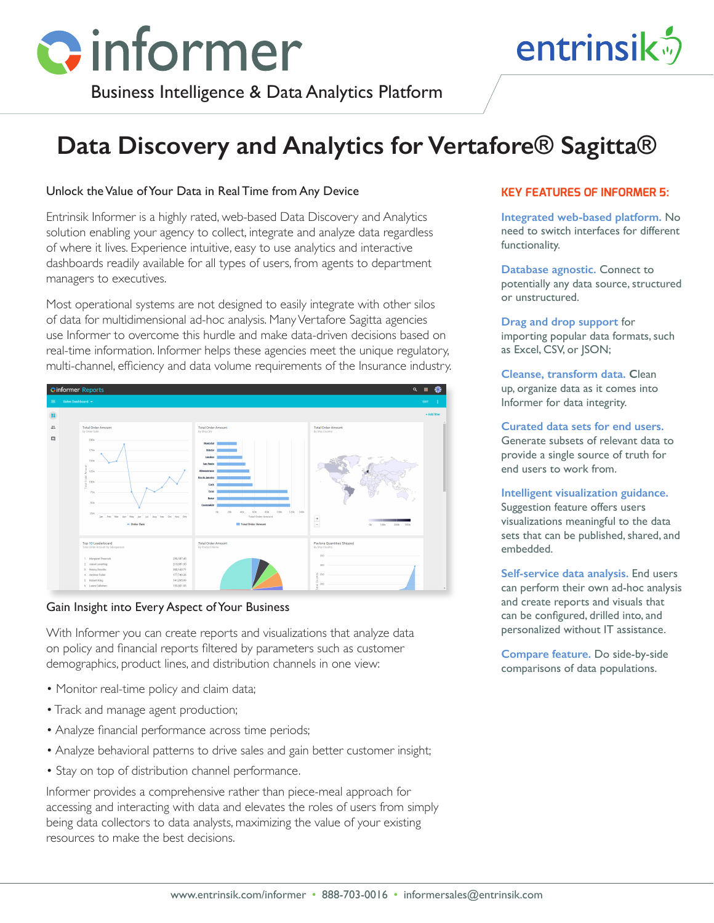

# entrinsik<sup>5</sup>

Business Intelligence & Data Analytics Platform

# **Data Discovery and Analytics for Vertafore® Sagitta®**

## Unlock the Value of Your Data in Real Time from Any Device

Entrinsik Informer is a highly rated, web-based Data Discovery and Analytics solution enabling your agency to collect, integrate and analyze data regardless of where it lives. Experience intuitive, easy to use analytics and interactive dashboards readily available for all types of users, from agents to department managers to executives.

Most operational systems are not designed to easily integrate with other silos of data for multidimensional ad-hoc analysis. Many Vertafore Sagitta agencies use Informer to overcome this hurdle and make data-driven decisions based on real-time information. Informer helps these agencies meet the unique regulatory, multi-channel, efficiency and data volume requirements of the Insurance industry.



#### Gain Insight into Every Aspect of Your Business

With Informer you can create reports and visualizations that analyze data on policy and financial reports filtered by parameters such as customer demographics, product lines, and distribution channels in one view:

- Monitor real-time policy and claim data;
- Track and manage agent production;
- Analyze financial performance across time periods;
- Analyze behavioral patterns to drive sales and gain better customer insight;
- Stay on top of distribution channel performance.

Informer provides a comprehensive rather than piece-meal approach for accessing and interacting with data and elevates the roles of users from simply being data collectors to data analysts, maximizing the value of your existing resources to make the best decisions.

#### **KEY FEATURES OF INFORMER 5:**

**Integrated web-based platform.** No need to switch interfaces for different functionality.

**Database agnostic.** Connect to potentially any data source, structured or unstructured.

**Drag and drop support** for importing popular data formats, such as Excel, CSV, or JSON;

**Cleanse, transform data. C**lean up, organize data as it comes into Informer for data integrity.

**Curated data sets for end users.**  Generate subsets of relevant data to provide a single source of truth for end users to work from.

**Intelligent visualization guidance.**  Suggestion feature offers users visualizations meaningful to the data sets that can be published, shared, and embedded.

**Self-service data analysis.** End users can perform their own ad-hoc analysis and create reports and visuals that can be configured, drilled into, and personalized without IT assistance.

**Compare feature.** Do side-by-side comparisons of data populations.